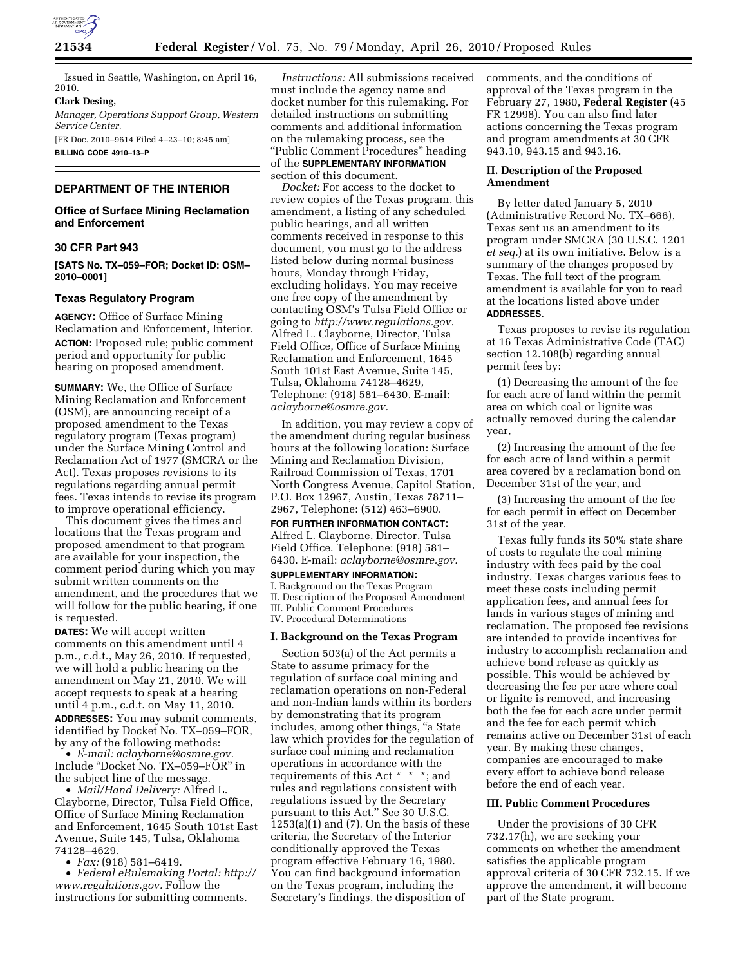

Issued in Seattle, Washington, on April 16, 2010.

### **Clark Desing,**

*Manager, Operations Support Group, Western Service Center.*  [FR Doc. 2010–9614 Filed 4–23–10; 8:45 am]

**BILLING CODE 4910–13–P** 

# **DEPARTMENT OF THE INTERIOR**

# **Office of Surface Mining Reclamation and Enforcement**

# **30 CFR Part 943**

**[SATS No. TX–059–FOR; Docket ID: OSM– 2010–0001]** 

### **Texas Regulatory Program**

**AGENCY:** Office of Surface Mining Reclamation and Enforcement, Interior. **ACTION:** Proposed rule; public comment period and opportunity for public hearing on proposed amendment.

**SUMMARY:** We, the Office of Surface Mining Reclamation and Enforcement (OSM), are announcing receipt of a proposed amendment to the Texas regulatory program (Texas program) under the Surface Mining Control and Reclamation Act of 1977 (SMCRA or the Act). Texas proposes revisions to its regulations regarding annual permit fees. Texas intends to revise its program to improve operational efficiency.

This document gives the times and locations that the Texas program and proposed amendment to that program are available for your inspection, the comment period during which you may submit written comments on the amendment, and the procedures that we will follow for the public hearing, if one is requested.

**DATES:** We will accept written comments on this amendment until 4 p.m., c.d.t., May 26, 2010. If requested, we will hold a public hearing on the amendment on May 21, 2010. We will accept requests to speak at a hearing until 4 p.m., c.d.t. on May 11, 2010. **ADDRESSES:** You may submit comments, identified by Docket No. TX–059–FOR, by any of the following methods:

• *E-mail: aclayborne@osmre.gov.*  Include ''Docket No. TX–059–FOR'' in the subject line of the message.

• *Mail/Hand Delivery:* Alfred L. Clayborne, Director, Tulsa Field Office, Office of Surface Mining Reclamation and Enforcement, 1645 South 101st East Avenue, Suite 145, Tulsa, Oklahoma 74128–4629.

• *Fax:* (918) 581–6419.

• *Federal eRulemaking Portal: http:// www.regulations.gov.* Follow the instructions for submitting comments.

*Instructions:* All submissions received must include the agency name and docket number for this rulemaking. For detailed instructions on submitting comments and additional information on the rulemaking process, see the ''Public Comment Procedures'' heading of the **SUPPLEMENTARY INFORMATION** section of this document.

*Docket:* For access to the docket to review copies of the Texas program, this amendment, a listing of any scheduled public hearings, and all written comments received in response to this document, you must go to the address listed below during normal business hours, Monday through Friday, excluding holidays. You may receive one free copy of the amendment by contacting OSM's Tulsa Field Office or going to *http://www.regulations.gov.*  Alfred L. Clayborne, Director, Tulsa Field Office, Office of Surface Mining Reclamation and Enforcement, 1645 South 101st East Avenue, Suite 145, Tulsa, Oklahoma 74128–4629, Telephone: (918) 581–6430, E-mail: *aclayborne@osmre.gov.* 

In addition, you may review a copy of the amendment during regular business hours at the following location: Surface Mining and Reclamation Division, Railroad Commission of Texas, 1701 North Congress Avenue, Capitol Station, P.O. Box 12967, Austin, Texas 78711– 2967, Telephone: (512) 463–6900.

**FOR FURTHER INFORMATION CONTACT:**  Alfred L. Clayborne, Director, Tulsa Field Office. Telephone: (918) 581– 6430. E-mail: *aclayborne@osmre.gov.* 

**SUPPLEMENTARY INFORMATION:**  I. Background on the Texas Program II. Description of the Proposed Amendment III. Public Comment Procedures IV. Procedural Determinations

#### **I. Background on the Texas Program**

Section 503(a) of the Act permits a State to assume primacy for the regulation of surface coal mining and reclamation operations on non-Federal and non-Indian lands within its borders by demonstrating that its program includes, among other things, "a State" law which provides for the regulation of surface coal mining and reclamation operations in accordance with the requirements of this Act \* \* \*; and rules and regulations consistent with regulations issued by the Secretary pursuant to this Act.'' See 30 U.S.C. 1253(a)(1) and (7). On the basis of these criteria, the Secretary of the Interior conditionally approved the Texas program effective February 16, 1980. You can find background information on the Texas program, including the Secretary's findings, the disposition of

comments, and the conditions of approval of the Texas program in the February 27, 1980, **Federal Register** (45 FR 12998). You can also find later actions concerning the Texas program and program amendments at 30 CFR 943.10, 943.15 and 943.16.

# **II. Description of the Proposed Amendment**

By letter dated January 5, 2010 (Administrative Record No. TX–666), Texas sent us an amendment to its program under SMCRA (30 U.S.C. 1201 *et seq.*) at its own initiative. Below is a summary of the changes proposed by Texas. The full text of the program amendment is available for you to read at the locations listed above under **ADDRESSES**.

Texas proposes to revise its regulation at 16 Texas Administrative Code (TAC) section 12.108(b) regarding annual permit fees by:

(1) Decreasing the amount of the fee for each acre of land within the permit area on which coal or lignite was actually removed during the calendar year,

(2) Increasing the amount of the fee for each acre of land within a permit area covered by a reclamation bond on December 31st of the year, and

(3) Increasing the amount of the fee for each permit in effect on December 31st of the year.

Texas fully funds its 50% state share of costs to regulate the coal mining industry with fees paid by the coal industry. Texas charges various fees to meet these costs including permit application fees, and annual fees for lands in various stages of mining and reclamation. The proposed fee revisions are intended to provide incentives for industry to accomplish reclamation and achieve bond release as quickly as possible. This would be achieved by decreasing the fee per acre where coal or lignite is removed, and increasing both the fee for each acre under permit and the fee for each permit which remains active on December 31st of each year. By making these changes, companies are encouraged to make every effort to achieve bond release before the end of each year.

# **III. Public Comment Procedures**

Under the provisions of 30 CFR 732.17(h), we are seeking your comments on whether the amendment satisfies the applicable program approval criteria of 30 CFR 732.15. If we approve the amendment, it will become part of the State program.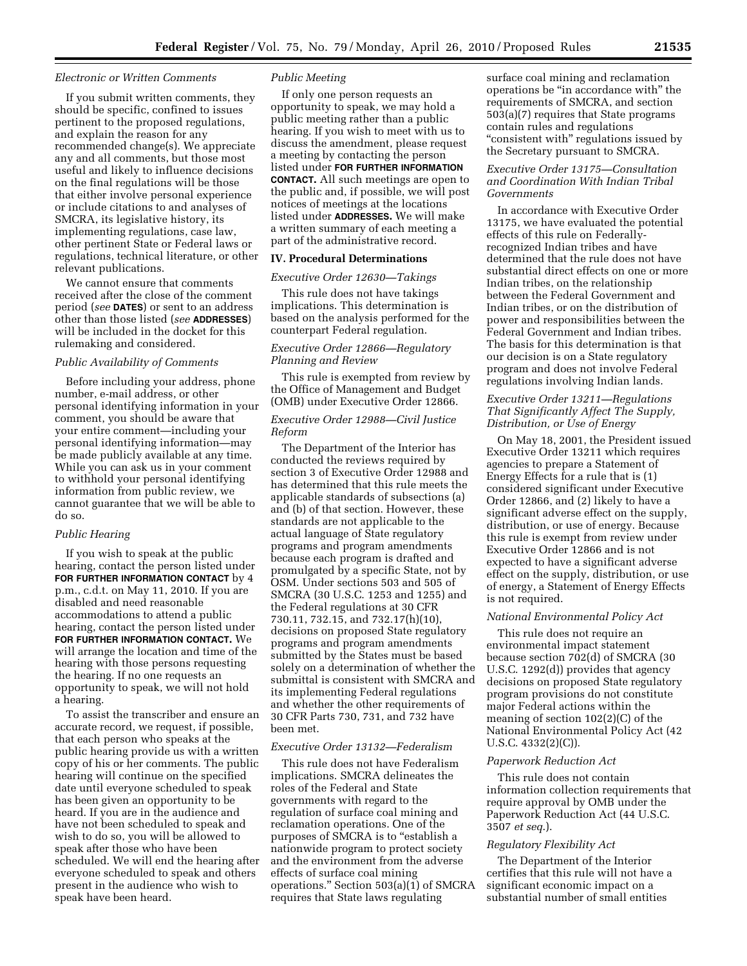#### *Electronic or Written Comments*

If you submit written comments, they should be specific, confined to issues pertinent to the proposed regulations, and explain the reason for any recommended change(s). We appreciate any and all comments, but those most useful and likely to influence decisions on the final regulations will be those that either involve personal experience or include citations to and analyses of SMCRA, its legislative history, its implementing regulations, case law, other pertinent State or Federal laws or regulations, technical literature, or other relevant publications.

We cannot ensure that comments received after the close of the comment period (*see* **DATES**) or sent to an address other than those listed (*see* **ADDRESSES**) will be included in the docket for this rulemaking and considered.

#### *Public Availability of Comments*

Before including your address, phone number, e-mail address, or other personal identifying information in your comment, you should be aware that your entire comment—including your personal identifying information—may be made publicly available at any time. While you can ask us in your comment to withhold your personal identifying information from public review, we cannot guarantee that we will be able to do so.

### *Public Hearing*

If you wish to speak at the public hearing, contact the person listed under **FOR FURTHER INFORMATION CONTACT** by 4 p.m., c.d.t. on May 11, 2010. If you are disabled and need reasonable accommodations to attend a public hearing, contact the person listed under **FOR FURTHER INFORMATION CONTACT.** We will arrange the location and time of the hearing with those persons requesting the hearing. If no one requests an opportunity to speak, we will not hold a hearing.

To assist the transcriber and ensure an accurate record, we request, if possible, that each person who speaks at the public hearing provide us with a written copy of his or her comments. The public hearing will continue on the specified date until everyone scheduled to speak has been given an opportunity to be heard. If you are in the audience and have not been scheduled to speak and wish to do so, you will be allowed to speak after those who have been scheduled. We will end the hearing after everyone scheduled to speak and others present in the audience who wish to speak have been heard.

### *Public Meeting*

If only one person requests an opportunity to speak, we may hold a public meeting rather than a public hearing. If you wish to meet with us to discuss the amendment, please request a meeting by contacting the person listed under **FOR FURTHER INFORMATION CONTACT.** All such meetings are open to the public and, if possible, we will post notices of meetings at the locations listed under **ADDRESSES.** We will make a written summary of each meeting a part of the administrative record.

### **IV. Procedural Determinations**

#### *Executive Order 12630—Takings*

This rule does not have takings implications. This determination is based on the analysis performed for the counterpart Federal regulation.

# *Executive Order 12866—Regulatory Planning and Review*

This rule is exempted from review by the Office of Management and Budget (OMB) under Executive Order 12866.

# *Executive Order 12988—Civil Justice Reform*

The Department of the Interior has conducted the reviews required by section 3 of Executive Order 12988 and has determined that this rule meets the applicable standards of subsections (a) and (b) of that section. However, these standards are not applicable to the actual language of State regulatory programs and program amendments because each program is drafted and promulgated by a specific State, not by OSM. Under sections 503 and 505 of SMCRA (30 U.S.C. 1253 and 1255) and the Federal regulations at 30 CFR 730.11, 732.15, and 732.17(h)(10), decisions on proposed State regulatory programs and program amendments submitted by the States must be based solely on a determination of whether the submittal is consistent with SMCRA and its implementing Federal regulations and whether the other requirements of 30 CFR Parts 730, 731, and 732 have been met.

### *Executive Order 13132—Federalism*

This rule does not have Federalism implications. SMCRA delineates the roles of the Federal and State governments with regard to the regulation of surface coal mining and reclamation operations. One of the purposes of SMCRA is to "establish a nationwide program to protect society and the environment from the adverse effects of surface coal mining operations.'' Section 503(a)(1) of SMCRA requires that State laws regulating

surface coal mining and reclamation operations be ''in accordance with'' the requirements of SMCRA, and section 503(a)(7) requires that State programs contain rules and regulations "consistent with" regulations issued by the Secretary pursuant to SMCRA.

## *Executive Order 13175—Consultation and Coordination With Indian Tribal Governments*

In accordance with Executive Order 13175, we have evaluated the potential effects of this rule on Federallyrecognized Indian tribes and have determined that the rule does not have substantial direct effects on one or more Indian tribes, on the relationship between the Federal Government and Indian tribes, or on the distribution of power and responsibilities between the Federal Government and Indian tribes. The basis for this determination is that our decision is on a State regulatory program and does not involve Federal regulations involving Indian lands.

# *Executive Order 13211—Regulations That Significantly Affect The Supply, Distribution, or Use of Energy*

On May 18, 2001, the President issued Executive Order 13211 which requires agencies to prepare a Statement of Energy Effects for a rule that is (1) considered significant under Executive Order 12866, and (2) likely to have a significant adverse effect on the supply, distribution, or use of energy. Because this rule is exempt from review under Executive Order 12866 and is not expected to have a significant adverse effect on the supply, distribution, or use of energy, a Statement of Energy Effects is not required.

#### *National Environmental Policy Act*

This rule does not require an environmental impact statement because section 702(d) of SMCRA (30 U.S.C. 1292(d)) provides that agency decisions on proposed State regulatory program provisions do not constitute major Federal actions within the meaning of section 102(2)(C) of the National Environmental Policy Act (42 U.S.C. 4332(2)(C)).

#### *Paperwork Reduction Act*

This rule does not contain information collection requirements that require approval by OMB under the Paperwork Reduction Act (44 U.S.C. 3507 *et seq*.).

# *Regulatory Flexibility Act*

The Department of the Interior certifies that this rule will not have a significant economic impact on a substantial number of small entities